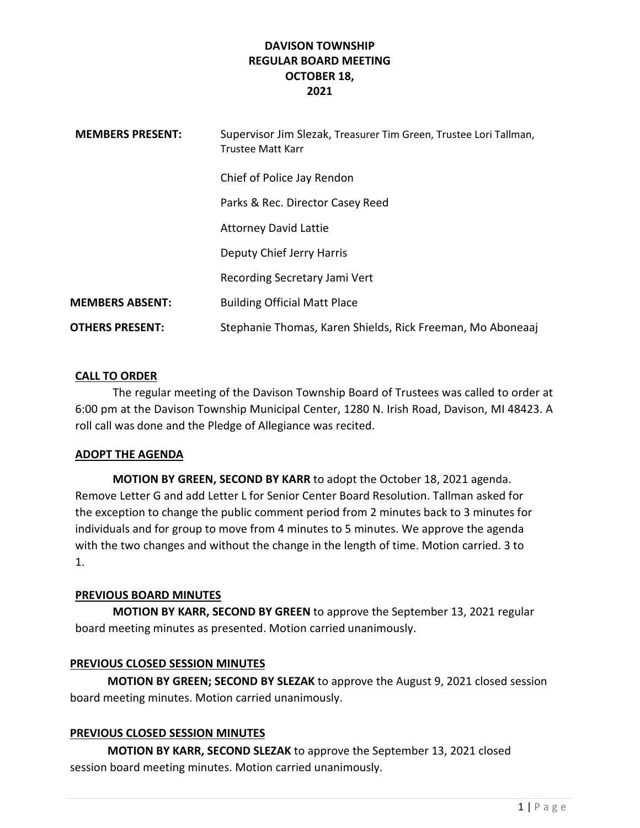| <b>MEMBERS PRESENT:</b> | Supervisor Jim Slezak, Treasurer Tim Green, Trustee Lori Tallman,<br><b>Trustee Matt Karr</b> |
|-------------------------|-----------------------------------------------------------------------------------------------|
|                         | Chief of Police Jay Rendon                                                                    |
|                         | Parks & Rec. Director Casey Reed                                                              |
|                         | <b>Attorney David Lattie</b>                                                                  |
|                         | Deputy Chief Jerry Harris                                                                     |
|                         | Recording Secretary Jami Vert                                                                 |
| <b>MEMBERS ABSENT:</b>  | <b>Building Official Matt Place</b>                                                           |
| <b>OTHERS PRESENT:</b>  | Stephanie Thomas, Karen Shields, Rick Freeman, Mo Aboneaaj                                    |

## CALL TO ORDER

The regular meeting of the Davison Township Board of Trustees was called to order at 6:00 pm at the Davison Township Municipal Center, 1280 N. Irish Road, Davison, MI 48423. A roll call was done and the Pledge of Allegiance was recited.

## ADOPT THE AGENDA

MOTION BY GREEN, SECOND BY KARR to adopt the October 18, 2021 agenda. Remove Letter G and add Letter L for Senior Center Board Resolution. Tallman asked for the exception to change the public comment period from 2 minutes back to 3 minutes for individuals and for group to move from 4 minutes to 5 minutes. We approve the agenda with the two changes and without the change in the length of time. Motion carried. 3 to 1.

## PREVIOUS BOARD MINUTES

MOTION BY KARR, SECOND BY GREEN to approve the September 13, 2021 regular board meeting minutes as presented. Motion carried unanimously.

## PREVIOUS CLOSED SESSION MINUTES

MOTION BY GREEN; SECOND BY SLEZAK to approve the August 9, 2021 closed session board meeting minutes. Motion carried unanimously.

## PREVIOUS CLOSED SESSION MINUTES

 MOTION BY KARR, SECOND SLEZAK to approve the September 13, 2021 closed session board meeting minutes. Motion carried unanimously.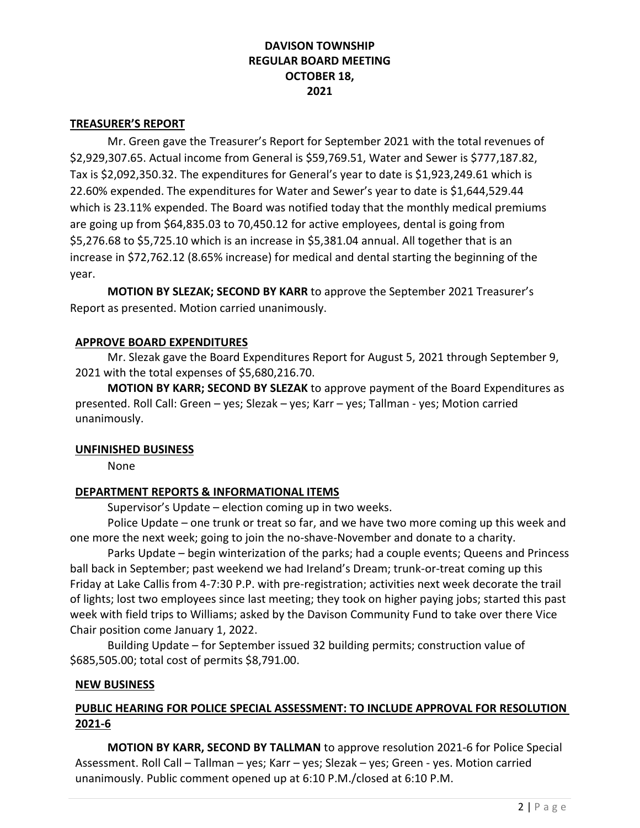#### TREASURER'S REPORT

 Mr. Green gave the Treasurer's Report for September 2021 with the total revenues of \$2,929,307.65. Actual income from General is \$59,769.51, Water and Sewer is \$777,187.82, Tax is \$2,092,350.32. The expenditures for General's year to date is \$1,923,249.61 which is 22.60% expended. The expenditures for Water and Sewer's year to date is \$1,644,529.44 which is 23.11% expended. The Board was notified today that the monthly medical premiums are going up from \$64,835.03 to 70,450.12 for active employees, dental is going from \$5,276.68 to \$5,725.10 which is an increase in \$5,381.04 annual. All together that is an increase in \$72,762.12 (8.65% increase) for medical and dental starting the beginning of the year.

MOTION BY SLEZAK; SECOND BY KARR to approve the September 2021 Treasurer's Report as presented. Motion carried unanimously.

#### APPROVE BOARD EXPENDITURES

 Mr. Slezak gave the Board Expenditures Report for August 5, 2021 through September 9, 2021 with the total expenses of \$5,680,216.70.

MOTION BY KARR; SECOND BY SLEZAK to approve payment of the Board Expenditures as presented. Roll Call: Green – yes; Slezak – yes; Karr – yes; Tallman - yes; Motion carried unanimously.

## UNFINISHED BUSINESS

None

## DEPARTMENT REPORTS & INFORMATIONAL ITEMS

Supervisor's Update – election coming up in two weeks.

 Police Update – one trunk or treat so far, and we have two more coming up this week and one more the next week; going to join the no-shave-November and donate to a charity.

 Parks Update – begin winterization of the parks; had a couple events; Queens and Princess ball back in September; past weekend we had Ireland's Dream; trunk-or-treat coming up this Friday at Lake Callis from 4-7:30 P.P. with pre-registration; activities next week decorate the trail of lights; lost two employees since last meeting; they took on higher paying jobs; started this past week with field trips to Williams; asked by the Davison Community Fund to take over there Vice Chair position come January 1, 2022.

 Building Update – for September issued 32 building permits; construction value of \$685,505.00; total cost of permits \$8,791.00.

## NEW BUSINESS

# PUBLIC HEARING FOR POLICE SPECIAL ASSESSMENT: TO INCLUDE APPROVAL FOR RESOLUTION 2021-6

 MOTION BY KARR, SECOND BY TALLMAN to approve resolution 2021-6 for Police Special Assessment. Roll Call – Tallman – yes; Karr – yes; Slezak – yes; Green - yes. Motion carried unanimously. Public comment opened up at 6:10 P.M./closed at 6:10 P.M.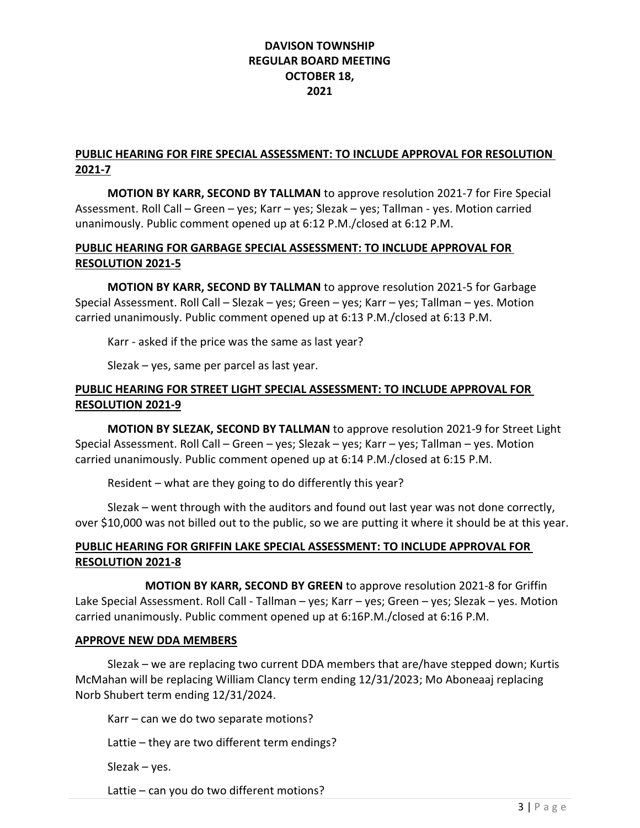# PUBLIC HEARING FOR FIRE SPECIAL ASSESSMENT: TO INCLUDE APPROVAL FOR RESOLUTION 2021-7

MOTION BY KARR, SECOND BY TALLMAN to approve resolution 2021-7 for Fire Special Assessment. Roll Call – Green – yes; Karr – yes; Slezak – yes; Tallman - yes. Motion carried unanimously. Public comment opened up at 6:12 P.M./closed at 6:12 P.M.

# PUBLIC HEARING FOR GARBAGE SPECIAL ASSESSMENT: TO INCLUDE APPROVAL FOR RESOLUTION 2021-5

MOTION BY KARR, SECOND BY TALLMAN to approve resolution 2021-5 for Garbage Special Assessment. Roll Call – Slezak – yes; Green – yes; Karr – yes; Tallman – yes. Motion carried unanimously. Public comment opened up at 6:13 P.M./closed at 6:13 P.M.

Karr - asked if the price was the same as last year?

Slezak – yes, same per parcel as last year.

# PUBLIC HEARING FOR STREET LIGHT SPECIAL ASSESSMENT: TO INCLUDE APPROVAL FOR RESOLUTION 2021-9

 MOTION BY SLEZAK, SECOND BY TALLMAN to approve resolution 2021-9 for Street Light Special Assessment. Roll Call – Green – yes; Slezak – yes; Karr – yes; Tallman – yes. Motion carried unanimously. Public comment opened up at 6:14 P.M./closed at 6:15 P.M.

Resident – what are they going to do differently this year?

 Slezak – went through with the auditors and found out last year was not done correctly, over \$10,000 was not billed out to the public, so we are putting it where it should be at this year.

# PUBLIC HEARING FOR GRIFFIN LAKE SPECIAL ASSESSMENT: TO INCLUDE APPROVAL FOR RESOLUTION 2021-8

 MOTION BY KARR, SECOND BY GREEN to approve resolution 2021-8 for Griffin Lake Special Assessment. Roll Call - Tallman – yes; Karr – yes; Green – yes; Slezak – yes. Motion carried unanimously. Public comment opened up at 6:16P.M./closed at 6:16 P.M.

## APPROVE NEW DDA MEMBERS

 Slezak – we are replacing two current DDA members that are/have stepped down; Kurtis McMahan will be replacing William Clancy term ending 12/31/2023; Mo Aboneaaj replacing Norb Shubert term ending 12/31/2024.

Karr – can we do two separate motions?

Lattie – they are two different term endings?

Slezak – yes.

Lattie – can you do two different motions?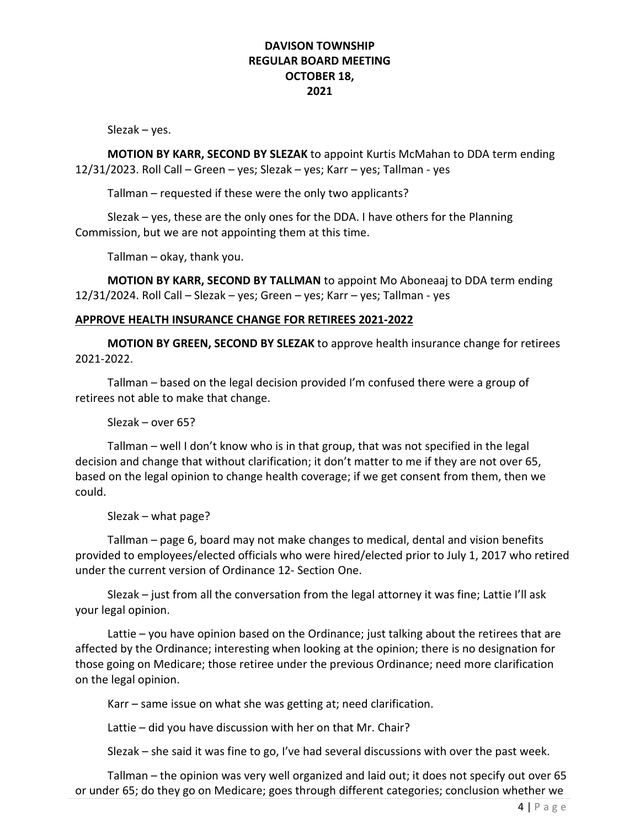Slezak – yes.

MOTION BY KARR, SECOND BY SLEZAK to appoint Kurtis McMahan to DDA term ending 12/31/2023. Roll Call – Green – yes; Slezak – yes; Karr – yes; Tallman - yes

Tallman – requested if these were the only two applicants?

 Slezak – yes, these are the only ones for the DDA. I have others for the Planning Commission, but we are not appointing them at this time.

Tallman – okay, thank you.

MOTION BY KARR, SECOND BY TALLMAN to appoint Mo Aboneaaj to DDA term ending 12/31/2024. Roll Call – Slezak – yes; Green – yes; Karr – yes; Tallman - yes

#### APPROVE HEALTH INSURANCE CHANGE FOR RETIREES 2021-2022

MOTION BY GREEN, SECOND BY SLEZAK to approve health insurance change for retirees 2021-2022.

Tallman – based on the legal decision provided I'm confused there were a group of retirees not able to make that change.

Slezak – over 65?

 Tallman – well I don't know who is in that group, that was not specified in the legal decision and change that without clarification; it don't matter to me if they are not over 65, based on the legal opinion to change health coverage; if we get consent from them, then we could.

Slezak – what page?

 Tallman – page 6, board may not make changes to medical, dental and vision benefits provided to employees/elected officials who were hired/elected prior to July 1, 2017 who retired under the current version of Ordinance 12- Section One.

 Slezak – just from all the conversation from the legal attorney it was fine; Lattie I'll ask your legal opinion.

 Lattie – you have opinion based on the Ordinance; just talking about the retirees that are affected by the Ordinance; interesting when looking at the opinion; there is no designation for those going on Medicare; those retiree under the previous Ordinance; need more clarification on the legal opinion.

Karr – same issue on what she was getting at; need clarification.

Lattie – did you have discussion with her on that Mr. Chair?

Slezak – she said it was fine to go, I've had several discussions with over the past week.

 Tallman – the opinion was very well organized and laid out; it does not specify out over 65 or under 65; do they go on Medicare; goes through different categories; conclusion whether we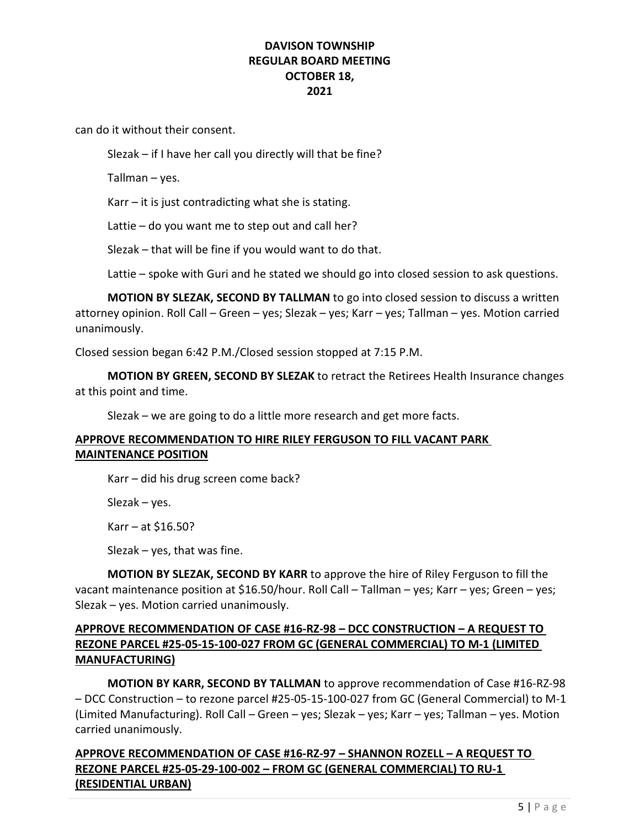can do it without their consent.

Slezak – if I have her call you directly will that be fine?

Tallman – yes.

 $Karr - it$  is just contradicting what she is stating.

Lattie – do you want me to step out and call her?

Slezak – that will be fine if you would want to do that.

Lattie – spoke with Guri and he stated we should go into closed session to ask questions.

MOTION BY SLEZAK, SECOND BY TALLMAN to go into closed session to discuss a written attorney opinion. Roll Call – Green – yes; Slezak – yes; Karr – yes; Tallman – yes. Motion carried unanimously.

Closed session began 6:42 P.M./Closed session stopped at 7:15 P.M.

MOTION BY GREEN, SECOND BY SLEZAK to retract the Retirees Health Insurance changes at this point and time.

Slezak – we are going to do a little more research and get more facts.

# APPROVE RECOMMENDATION TO HIRE RILEY FERGUSON TO FILL VACANT PARK MAINTENANCE POSITION

Karr – did his drug screen come back?

Slezak – yes.

Karr  $-$  at \$16.50?

Slezak – yes, that was fine.

MOTION BY SLEZAK, SECOND BY KARR to approve the hire of Riley Ferguson to fill the vacant maintenance position at \$16.50/hour. Roll Call – Tallman – yes; Karr – yes; Green – yes; Slezak – yes. Motion carried unanimously.

# APPROVE RECOMMENDATION OF CASE #16-RZ-98 – DCC CONSTRUCTION – A REQUEST TO REZONE PARCEL #25-05-15-100-027 FROM GC (GENERAL COMMERCIAL) TO M-1 (LIMITED MANUFACTURING)

MOTION BY KARR, SECOND BY TALLMAN to approve recommendation of Case #16-RZ-98 – DCC Construction – to rezone parcel #25-05-15-100-027 from GC (General Commercial) to M-1 (Limited Manufacturing). Roll Call – Green – yes; Slezak – yes; Karr – yes; Tallman – yes. Motion carried unanimously.

# APPROVE RECOMMENDATION OF CASE #16-RZ-97 – SHANNON ROZELL – A REQUEST TO REZONE PARCEL #25-05-29-100-002 – FROM GC (GENERAL COMMERCIAL) TO RU-1 (RESIDENTIAL URBAN)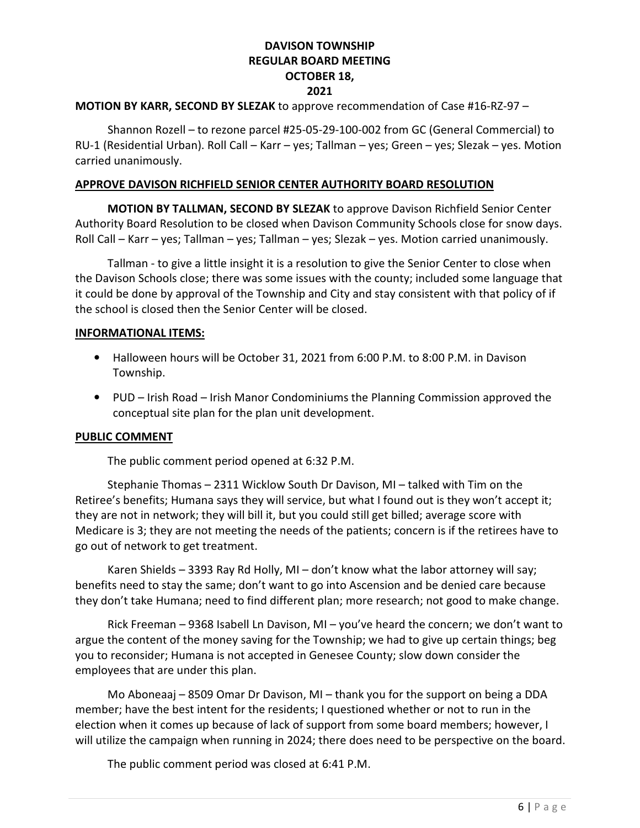## MOTION BY KARR, SECOND BY SLEZAK to approve recommendation of Case #16-RZ-97 –

Shannon Rozell – to rezone parcel #25-05-29-100-002 from GC (General Commercial) to RU-1 (Residential Urban). Roll Call – Karr – yes; Tallman – yes; Green – yes; Slezak – yes. Motion carried unanimously.

#### APPROVE DAVISON RICHFIELD SENIOR CENTER AUTHORITY BOARD RESOLUTION

 MOTION BY TALLMAN, SECOND BY SLEZAK to approve Davison Richfield Senior Center Authority Board Resolution to be closed when Davison Community Schools close for snow days. Roll Call – Karr – yes; Tallman – yes; Tallman – yes; Slezak – yes. Motion carried unanimously.

Tallman - to give a little insight it is a resolution to give the Senior Center to close when the Davison Schools close; there was some issues with the county; included some language that it could be done by approval of the Township and City and stay consistent with that policy of if the school is closed then the Senior Center will be closed.

#### INFORMATIONAL ITEMS:

- Halloween hours will be October 31, 2021 from 6:00 P.M. to 8:00 P.M. in Davison Township.
- PUD Irish Road Irish Manor Condominiums the Planning Commission approved the conceptual site plan for the plan unit development.

#### PUBLIC COMMENT

The public comment period opened at 6:32 P.M.

 Stephanie Thomas – 2311 Wicklow South Dr Davison, MI – talked with Tim on the Retiree's benefits; Humana says they will service, but what I found out is they won't accept it; they are not in network; they will bill it, but you could still get billed; average score with Medicare is 3; they are not meeting the needs of the patients; concern is if the retirees have to go out of network to get treatment.

 Karen Shields – 3393 Ray Rd Holly, MI – don't know what the labor attorney will say; benefits need to stay the same; don't want to go into Ascension and be denied care because they don't take Humana; need to find different plan; more research; not good to make change.

 Rick Freeman – 9368 Isabell Ln Davison, MI – you've heard the concern; we don't want to argue the content of the money saving for the Township; we had to give up certain things; beg you to reconsider; Humana is not accepted in Genesee County; slow down consider the employees that are under this plan.

 Mo Aboneaaj – 8509 Omar Dr Davison, MI – thank you for the support on being a DDA member; have the best intent for the residents; I questioned whether or not to run in the election when it comes up because of lack of support from some board members; however, I will utilize the campaign when running in 2024; there does need to be perspective on the board.

The public comment period was closed at 6:41 P.M.